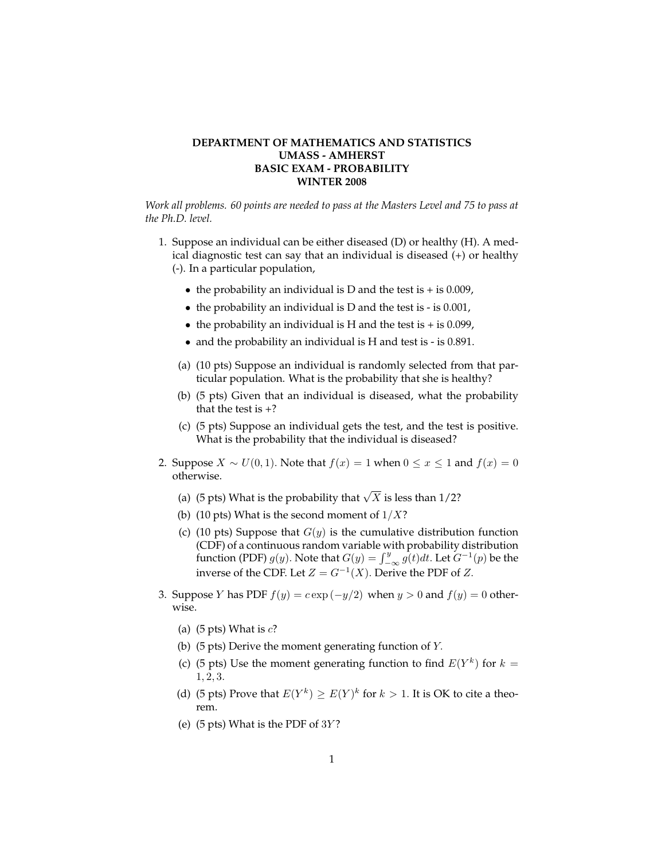## **DEPARTMENT OF MATHEMATICS AND STATISTICS UMASS - AMHERST BASIC EXAM - PROBABILITY WINTER 2008**

*Work all problems. 60 points are needed to pass at the Masters Level and 75 to pass at the Ph.D. level.*

- 1. Suppose an individual can be either diseased (D) or healthy (H). A medical diagnostic test can say that an individual is diseased (+) or healthy (-). In a particular population,
	- the probability an individual is D and the test is  $+$  is 0.009,
	- the probability an individual is D and the test is is 0.001,
	- the probability an individual is H and the test is  $+$  is 0.099,
	- and the probability an individual is H and test is is 0.891.
	- (a) (10 pts) Suppose an individual is randomly selected from that particular population. What is the probability that she is healthy?
	- (b) (5 pts) Given that an individual is diseased, what the probability that the test is  $+$ ?
	- (c) (5 pts) Suppose an individual gets the test, and the test is positive. What is the probability that the individual is diseased?
- 2. Suppose  $X \sim U(0, 1)$ . Note that  $f(x) = 1$  when  $0 \le x \le 1$  and  $f(x) = 0$ otherwise.
	- (a) (5 pts) What is the probability that  $\sqrt{X}$  is less than 1/2?
	- (b) (10 pts) What is the second moment of  $1/X$ ?
	- (c) (10 pts) Suppose that  $G(y)$  is the cumulative distribution function (CDF) of a continuous random variable with probability distribution function (PDF)  $g(y)$ . Note that  $G(y) = \int_{-\infty}^{y} g(t)dt$ . Let  $G^{-1}(p)$  be the inverse of the CDF. Let  $Z = G^{-1}(X)$ . Derive the PDF of Z.
- 3. Suppose Y has PDF  $f(y) = c \exp(-y/2)$  when  $y > 0$  and  $f(y) = 0$  otherwise.
	- (a) (5 pts) What is  $c$ ?
	- (b) (5 pts) Derive the moment generating function of Y.
	- (c) (5 pts) Use the moment generating function to find  $E(Y^k)$  for  $k =$ 1, 2, 3.
	- (d) (5 pts) Prove that  $E(Y^k) \ge E(Y)^k$  for  $k > 1$ . It is OK to cite a theorem.
	- (e)  $(5 \text{ pts})$  What is the PDF of 3Y?